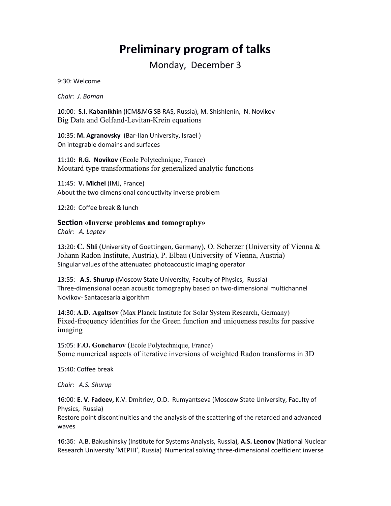# **Preliminary program of talks**

Monday, December 3

9:30: Welcome

*Chair: J. Boman*

10:00: **S.I. Kabanikhin** (ICM&MG SB RAS, Russia), M. Shishlenin, N. Novikov Big Data and Gelfand-Levitan-Krein equations

10:35: **M. Agranovsky** (Bar-Ilan University, Israel ) On integrable domains and surfaces

11:10**: R.G. Novikov** (Ecole Polytechnique, France) Moutard type transformations for generalized analytic functions

11:45: **V. Michel** (IMJ, France) About the two dimensional conductivity inverse problem

12:20: Coffee break & lunch

**Section «Inverse problems and tomography»**

*Chair: A. Laptev*

13:20: **C. Shi** (University of Goettingen, Germany), O. Scherzer (University of Vienna & Johann Radon Institute, Austria), P. Elbau (University of Vienna, Austria) Singular values of the attenuated photoacoustic imaging operator

13:55: **A.S. Shurup** (Moscow State University, Faculty of Physics, Russia) Three-dimensional ocean acoustic tomography based on two-dimensional multichannel Novikov- Santacesaria algorithm

14:30: **A.D. Agaltsov** (Max Planck Institute for Solar System Research, Germany) Fixed-frequency identities for the Green function and uniqueness results for passive imaging

15:05: **F.O. Goncharov** (Ecole Polytechnique, France) Some numerical aspects of iterative inversions of weighted Radon transforms in 3D

15:40: Coffee break

*Chair: A.S. Shurup*

16:00: **E. V. Fadeev,** K.V. Dmitriev, O.D. Rumyantseva (Moscow State University, Faculty of Physics, Russia)

Restore point discontinuities and the analysis of the scattering of the retarded and advanced waves

16:35: A.B. Bakushinsky (Institute for Systems Analysis, Russia), **A.S. Leonov** (National Nuclear Research University 'MEPHI', Russia) Numerical solving three-dimensional coefficient inverse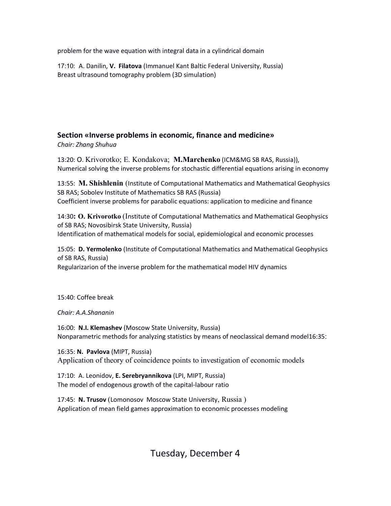problem for the wave equation with integral data in a cylindrical domain

17:10: A. Danilin, **V. Filatova** (Immanuel Kant Baltic Federal University, Russia) Breast ultrasound tomography problem (3D simulation)

## **Section «Inverse problems in economic, finance and medicine»**

*Chair: Zhang Shuhua*

13:20: O. Krivorotko; E. Kondakova; **M.Marchenko** (ICM&MG SB RAS, Russia)), Numerical solving the inverse problems for stochastic differential equations arising in economy

13:55: **M. Shishlenin** (Institute of Computational Mathematics and Mathematical Geophysics SB RAS; Sobolev Institute of Mathematics SB RAS (Russia) Coefficient inverse problems for parabolic equations: application to medicine and finance

14:30**: O. Krivorotko** (Institute of Computational Mathematics and Mathematical Geophysics of SB RAS; Novosibirsk State University, Russia) Identification of mathematical models for social, epidemiological and economic processes

15:05: **D. Yermolenko** (Institute of Computational Mathematics and Mathematical Geophysics of SB RAS, Russia)

Regularizarion of the inverse problem for the mathematical model HIV dynamics

15:40: Coffee break

*Chair: A.A.Shananin*

16:00: **N.I. Klemashev** (Moscow State University, Russia) Nonparametric methods for analyzing statistics by means of neoclassical demand model16:35:

16:35: **N. Pavlova** (MIPT, Russia) Application of theory of coincidence points to investigation of economic models

17:10: A. Leonidov, **E. Serebryannikova** (LPI, MIPT, Russia) The model of endogenous growth of the capital-labour ratio

17:45: **N. Trusov** (Lomonosov Moscow State University, Russia ) Application of mean field games approximation to economic processes modeling

Tuesday, December 4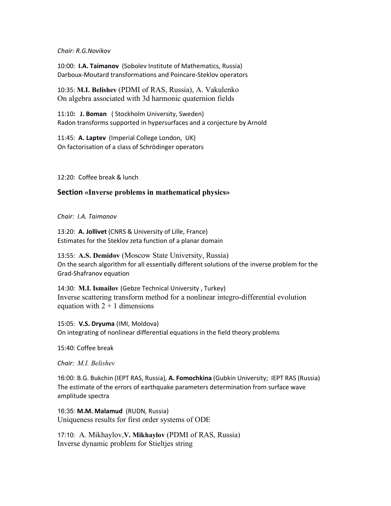#### *Chair: R.G.Novikov*

10:00: **I.A. Taimanov** (Sobolev Institute of Mathematics, Russia) Darboux-Moutard transformations and Poincare-Steklov operators

10:35: **M.I. Belishev** (PDMI of RAS, Russia), A. Vakulenko On algebra associated with 3d harmonic quaternion fields

11:10**: J. Boman** ( Stockholm University, Sweden) Radon transforms supported in hypersurfaces and a conjecture by Arnold

11:45: **A. Laptev** (Imperial College London, UK) On factorisation of a class of Schrödinger operators

12:20: Coffee break & lunch

#### **Section «Inverse problems in mathematical physics»**

*Chair: I.A. Taimanov*

13:20: **A. Jollivet** (CNRS & University of Lille, France) Estimates for the Steklov zeta function of a planar domain

13:55: **A.S. Demidov** (Moscow State University, Russia) On the search algorithm for all essentially different solutions of the inverse problem for the Grad-Shafranov equation

14:30: **M.I. Ismailov** (Gebze Technical University , Turkey) Inverse scattering transform method for a nonlinear integro-differential evolution equation with  $2 + 1$  dimensions

15:05: **V.S. Dryuma** (IMI, Moldova) On integrating of nonlinear differential equations in the field theory problems

15:40: Coffee break

*Chair: M.I. Belishev* 

16:00: B.G. Bukchin (IEPT RAS, Russia), **A. Fomochkina** (Gubkin University; IEPT RAS (Russia) The estimate of the errors of earthquake parameters determination from surface wave amplitude spectra

16:35: **M.M. Malamud** (RUDN, Russia) Uniqueness results for first order systems of ODE

17:10: A. Mikhaylov,**V. Mikhaylov** (PDMI of RAS, Russia) Inverse dynamic problem for Stieltjes string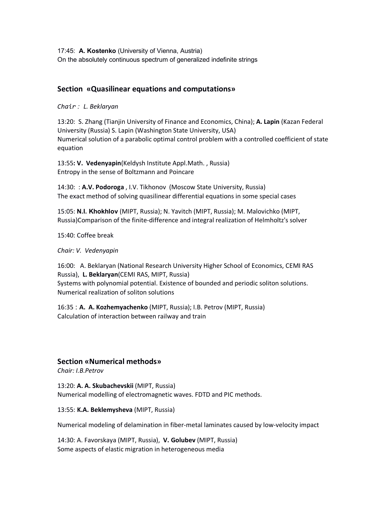17:45: **A. Kostenko** (University of Vienna, Austria) On the absolutely continuous spectrum of generalized indefinite strings

### **Section «Quasilinear equations and computations»**

*Chair : L. Beklaryan*

13:20: S. Zhang (Tianjin University of Finance and Economics, China); **A. Lapin** (Kazan Federal University (Russia) S. Lapin (Washington State University, USA) Numerical solution of a parabolic optimal control problem with a controlled coefficient of state equation

13:55**: V. Vedenyapin**(Keldysh Institute Appl.Math. , Russia) Entropy in the sense of Boltzmann and Poincare

14:30: : **A.V. Podoroga** , I.V. Tikhonov (Moscow State University, Russia) The exact method of solving quasilinear differential equations in some special cases

15:05: **N.I. Khokhlov** (MIPT, Russia); N. Yavitch (MIPT, Russia); M. Malovichko (MIPT, Russia)Comparison of the finite-difference and integral realization of Helmholtz's solver

15:40: Coffee break

#### *Chair: V. Vedenyapin*

16:00: A. Beklaryan (National Research University Higher School of Economics, CEMI RAS Russia), **L. Beklaryan**(CEMI RAS, MIPT, Russia) Systems with polynomial potential. Existence of bounded and periodic soliton solutions. Numerical realization of soliton solutions

16:35 : **A. A. Kozhemyachenko** (MIPT, Russia); I.B. Petrov (MIPT, Russia) Calculation of interaction between railway and train

### **Section «Numerical methods»**

*Chair: I.B.Petrov*

13:20: **A. A. Skubachevskii** (MIPT, Russia) Numerical modelling of electromagnetic waves. FDTD and PIC methods.

13:55: **K.A. Beklemysheva** (MIPT, Russia)

Numerical modeling of delamination in fiber-metal laminates caused by low-velocity impact

14:30: A. Favorskaya (MIPT, Russia), **V. Golubev** (MIPT, Russia) Some aspects of elastic migration in heterogeneous media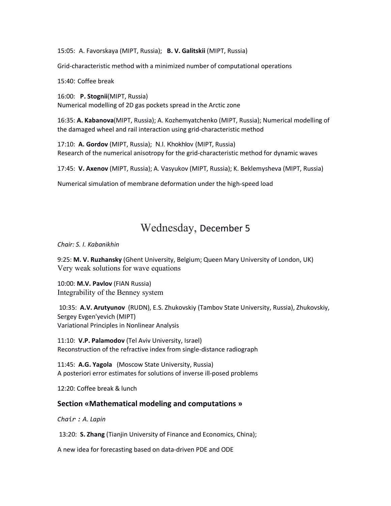15:05: A. Favorskaya (MIPT, Russia); **B. V. Galitskii** (MIPT, Russia)

Grid-characteristic method with a minimized number of computational operations

15:40: Coffee break

16:00: **P. Stognii**(MIPT, Russia) Numerical modelling of 2D gas pockets spread in the Arctic zone

16:35: **A. Kabanova**(MIPT, Russia); A. Kozhemyatchenko (MIPT, Russia); Numerical modelling of the damaged wheel and rail interaction using grid-characteristic method

17:10: **A. Gordov** (MIPT, Russia); N.I. Khokhlov (MIPT, Russia) Research of the numerical anisotropy for the grid-characteristic method for dynamic waves

17:45: **V. Axenov** (MIPT, Russia); A. Vasyukov (MIPT, Russia); K. Beklemysheva (MIPT, Russia)

Numerical simulation of membrane deformation under the high-speed load

## Wednesday, December 5

*Chair: S. I. Kabanikhin*

9:25: **M. V. Ruzhansky** (Ghent University, Belgium; Queen Mary University of London, UK) Very weak solutions for wave equations

10:00: **M.V. Pavlov** (FIAN Russia) Integrability of the Benney system

10:35: **A.V. Arutyunov** (RUDN), E.S. Zhukovskiy (Tambov State University, Russia), Zhukovskiy, Sergey Evgen'yevich (MIPT) Variational Principles in Nonlinear Analysis

11:10: **V.P. Palamodov** (Tel Aviv University, Israel) Reconstruction of the refractive index from single-distance radiograph

11:45: **A.G. Yagola** (Moscow State University, Russia) A posteriori error estimates for solutions of inverse ill-posed problems

12:20: Coffee break & lunch

#### **Section «Mathematical modeling and computations »**

*Chair : A. Lapin*

13:20: **S. Zhang** (Tianjin University of Finance and Economics, China);

A new idea for forecasting based on data-driven PDE and ODE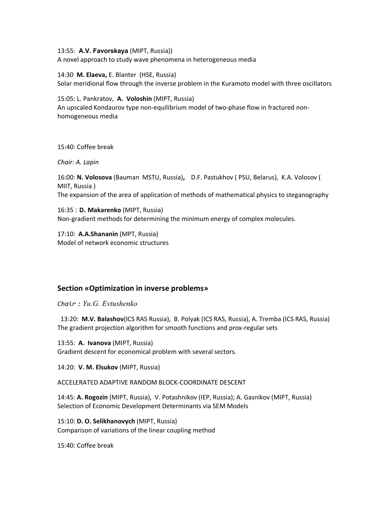13:55: **A.V. Favorskaya** (MIPT, Russia)) A novel approach to study wave phenomena in heterogeneous media

14:30**M. Elaeva,** E. Blanter(HSE, Russia) Solar meridional flow through the inverse problem in the Kuramoto model with three oscillators

15:05: L. Pankratov, **A. Voloshin** (MIPT, Russia) An upscaled Kondaurov type non-equilibrium model of two-phase flow in fractured nonhomogeneous media

15:40: Coffee break

*Chair: A. Lapin*

16:00: **N. Volosova** (Bauman MSTU, Russia)**,** D.F. Pastukhov ( PSU, Belarus), K.A. Volosov ( MIIT, Russia ) The expansion of the area of application of methods of mathematical physics to steganography

16:35 : **D. Makarenko** (MIPT, Russia) Non-gradient methods for determining the minimum energy of complex molecules.

17:10: **A.A.Shananin** (MPT, Russia) Model of network economic structures

## **Section «Optimization in inverse problems»**

*Chair : Yu.G. Evtushenko*

13:20: **M.V. Balashov**(ICS RAS Russia), B. Polyak (ICS RAS, Russia), A. Tremba (ICS RAS, Russia) The gradient projection algorithm for smooth functions and prox-regular sets

13:55: **A. Ivanova** (MIPT, Russia) Gradient descent for economical problem with several sectors.

14:20: **V. M. Elsukov** (MIPT, Russia)

ACCELERATED ADAPTIVE RANDOM BLOCK-COORDINATE DESCENT

14:45: **A. Rogozin** (MIPT, Russia), V. Potashnikov (IEP, Russia); A. Gasnikov (MIPT, Russia) Selection of Economic Development Determinants via SEM Models

15:10: **D. O. Selikhanovych** (MIPT, Russia) Comparison of variations of the linear coupling method

15:40: Coffee break